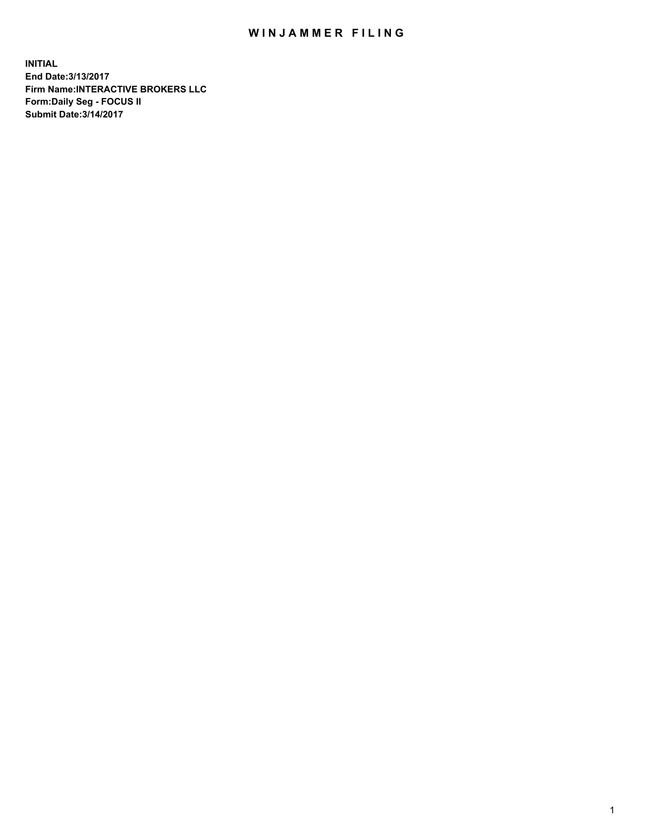## WIN JAMMER FILING

**INITIAL End Date:3/13/2017 Firm Name:INTERACTIVE BROKERS LLC Form:Daily Seg - FOCUS II Submit Date:3/14/2017**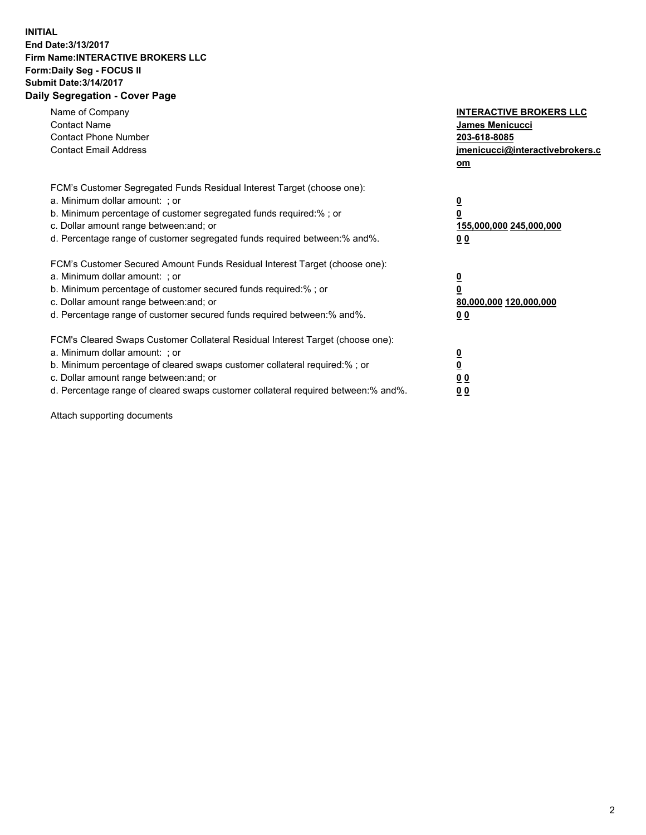## **INITIAL End Date:3/13/2017 Firm Name:INTERACTIVE BROKERS LLC Form:Daily Seg - FOCUS II Submit Date:3/14/2017 Daily Segregation - Cover Page**

| Name of Company<br><b>Contact Name</b><br><b>Contact Phone Number</b><br><b>Contact Email Address</b>                                                                                                                                                                                                                          | <b>INTERACTIVE BROKERS LLC</b><br><b>James Menicucci</b><br>203-618-8085<br>jmenicucci@interactivebrokers.c<br>om |
|--------------------------------------------------------------------------------------------------------------------------------------------------------------------------------------------------------------------------------------------------------------------------------------------------------------------------------|-------------------------------------------------------------------------------------------------------------------|
| FCM's Customer Segregated Funds Residual Interest Target (choose one):<br>a. Minimum dollar amount: ; or<br>b. Minimum percentage of customer segregated funds required:%; or<br>c. Dollar amount range between: and; or<br>d. Percentage range of customer segregated funds required between:% and%.                          | $\overline{\mathbf{0}}$<br>0<br>155,000,000 245,000,000<br>0 <sub>0</sub>                                         |
| FCM's Customer Secured Amount Funds Residual Interest Target (choose one):<br>a. Minimum dollar amount: ; or<br>b. Minimum percentage of customer secured funds required:%; or<br>c. Dollar amount range between: and; or<br>d. Percentage range of customer secured funds required between: % and %.                          | $\overline{\mathbf{0}}$<br>0<br>80,000,000 120,000,000<br>0 <sub>0</sub>                                          |
| FCM's Cleared Swaps Customer Collateral Residual Interest Target (choose one):<br>a. Minimum dollar amount: ; or<br>b. Minimum percentage of cleared swaps customer collateral required:% ; or<br>c. Dollar amount range between: and; or<br>d. Percentage range of cleared swaps customer collateral required between:% and%. | $\overline{\mathbf{0}}$<br>$\overline{\mathbf{0}}$<br>0 <sub>0</sub><br><u>00</u>                                 |

Attach supporting documents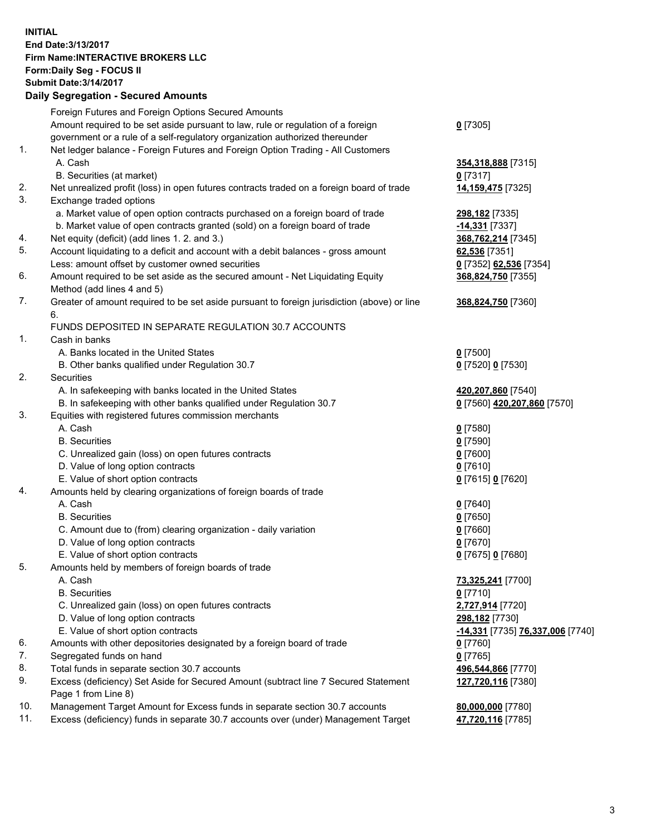## **INITIAL End Date:3/13/2017 Firm Name:INTERACTIVE BROKERS LLC Form:Daily Seg - FOCUS II Submit Date:3/14/2017 Daily Segregation - Secured Amounts**

|     | Foreign Futures and Foreign Options Secured Amounts                                         |                                  |
|-----|---------------------------------------------------------------------------------------------|----------------------------------|
|     | Amount required to be set aside pursuant to law, rule or regulation of a foreign            | $0$ [7305]                       |
|     | government or a rule of a self-regulatory organization authorized thereunder                |                                  |
| 1.  | Net ledger balance - Foreign Futures and Foreign Option Trading - All Customers             |                                  |
|     | A. Cash                                                                                     | 354,318,888 [7315]               |
|     | B. Securities (at market)                                                                   | $0$ [7317]                       |
| 2.  | Net unrealized profit (loss) in open futures contracts traded on a foreign board of trade   | 14,159,475 [7325]                |
| 3.  | Exchange traded options                                                                     |                                  |
|     | a. Market value of open option contracts purchased on a foreign board of trade              | 298,182 [7335]                   |
|     | b. Market value of open contracts granted (sold) on a foreign board of trade                | -14,331 [7337]                   |
| 4.  | Net equity (deficit) (add lines 1. 2. and 3.)                                               | 368,762,214 [7345]               |
| 5.  | Account liquidating to a deficit and account with a debit balances - gross amount           | 62,536 [7351]                    |
|     | Less: amount offset by customer owned securities                                            | 0 [7352] 62,536 [7354]           |
| 6.  | Amount required to be set aside as the secured amount - Net Liquidating Equity              | 368,824,750 [7355]               |
|     | Method (add lines 4 and 5)                                                                  |                                  |
| 7.  | Greater of amount required to be set aside pursuant to foreign jurisdiction (above) or line | 368,824,750 [7360]               |
|     | 6.                                                                                          |                                  |
|     | FUNDS DEPOSITED IN SEPARATE REGULATION 30.7 ACCOUNTS                                        |                                  |
| 1.  | Cash in banks                                                                               |                                  |
|     | A. Banks located in the United States                                                       | $0$ [7500]                       |
|     | B. Other banks qualified under Regulation 30.7                                              | 0 [7520] 0 [7530]                |
| 2.  | Securities                                                                                  |                                  |
|     | A. In safekeeping with banks located in the United States                                   | 420,207,860 [7540]               |
|     | B. In safekeeping with other banks qualified under Regulation 30.7                          | 0 [7560] 420,207,860 [7570]      |
| 3.  | Equities with registered futures commission merchants                                       |                                  |
|     | A. Cash                                                                                     | $0$ [7580]                       |
|     | <b>B.</b> Securities                                                                        | $0$ [7590]                       |
|     | C. Unrealized gain (loss) on open futures contracts                                         | $0$ [7600]                       |
|     | D. Value of long option contracts                                                           | $0$ [7610]                       |
|     | E. Value of short option contracts                                                          | 0 [7615] 0 [7620]                |
| 4.  | Amounts held by clearing organizations of foreign boards of trade                           |                                  |
|     | A. Cash                                                                                     | $0$ [7640]                       |
|     | <b>B.</b> Securities                                                                        | $0$ [7650]                       |
|     | C. Amount due to (from) clearing organization - daily variation                             | $0$ [7660]                       |
|     | D. Value of long option contracts                                                           | $0$ [7670]                       |
|     | E. Value of short option contracts                                                          | 0 [7675] 0 [7680]                |
| 5.  | Amounts held by members of foreign boards of trade                                          |                                  |
|     | A. Cash                                                                                     | 73,325,241 [7700]                |
|     | <b>B.</b> Securities                                                                        | $0$ [7710]                       |
|     | C. Unrealized gain (loss) on open futures contracts                                         | 2,727,914 [7720]                 |
|     | D. Value of long option contracts                                                           | 298,182 [7730]                   |
|     | E. Value of short option contracts                                                          | -14,331 [7735] 76,337,006 [7740] |
| 6.  | Amounts with other depositories designated by a foreign board of trade                      | 0 [7760]                         |
| 7.  | Segregated funds on hand                                                                    | $0$ [7765]                       |
| 8.  | Total funds in separate section 30.7 accounts                                               | 496,544,866 [7770]               |
| 9.  | Excess (deficiency) Set Aside for Secured Amount (subtract line 7 Secured Statement         | 127,720,116 [7380]               |
|     | Page 1 from Line 8)                                                                         |                                  |
| 10. | Management Target Amount for Excess funds in separate section 30.7 accounts                 | 80,000,000 [7780]                |
| 11. | Excess (deficiency) funds in separate 30.7 accounts over (under) Management Target          | 47,720,116 [7785]                |
|     |                                                                                             |                                  |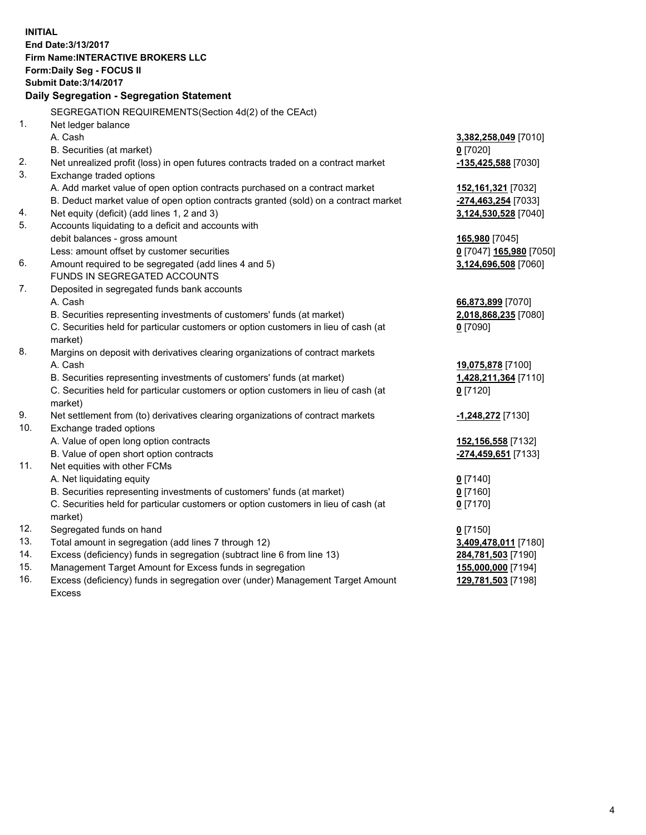**INITIAL End Date:3/13/2017 Firm Name:INTERACTIVE BROKERS LLC Form:Daily Seg - FOCUS II Submit Date:3/14/2017 Daily Segregation - Segregation Statement** SEGREGATION REQUIREMENTS(Section 4d(2) of the CEAct) 1. Net ledger balance A. Cash **3,382,258,049** [7010] B. Securities (at market) **0** [7020] 2. Net unrealized profit (loss) in open futures contracts traded on a contract market **-135,425,588** [7030] 3. Exchange traded options A. Add market value of open option contracts purchased on a contract market **152,161,321** [7032] B. Deduct market value of open option contracts granted (sold) on a contract market **-274,463,254** [7033] 4. Net equity (deficit) (add lines 1, 2 and 3) **3,124,530,528** [7040] 5. Accounts liquidating to a deficit and accounts with debit balances - gross amount **165,980** [7045] Less: amount offset by customer securities **0** [7047] **165,980** [7050] 6. Amount required to be segregated (add lines 4 and 5) **3,124,696,508** [7060] FUNDS IN SEGREGATED ACCOUNTS 7. Deposited in segregated funds bank accounts A. Cash **66,873,899** [7070] B. Securities representing investments of customers' funds (at market) **2,018,868,235** [7080] C. Securities held for particular customers or option customers in lieu of cash (at market) **0** [7090] 8. Margins on deposit with derivatives clearing organizations of contract markets A. Cash **19,075,878** [7100] B. Securities representing investments of customers' funds (at market) **1,428,211,364** [7110] C. Securities held for particular customers or option customers in lieu of cash (at market) **0** [7120] 9. Net settlement from (to) derivatives clearing organizations of contract markets **-1,248,272** [7130] 10. Exchange traded options A. Value of open long option contracts **152,156,558** [7132] B. Value of open short option contracts **-274,459,651** [7133] 11. Net equities with other FCMs A. Net liquidating equity **0** [7140] B. Securities representing investments of customers' funds (at market) **0** [7160] C. Securities held for particular customers or option customers in lieu of cash (at market) **0** [7170] 12. Segregated funds on hand **0** [7150] 13. Total amount in segregation (add lines 7 through 12) **3,409,478,011** [7180] 14. Excess (deficiency) funds in segregation (subtract line 6 from line 13) **284,781,503** [7190] 15. Management Target Amount for Excess funds in segregation **155,000,000** [7194] **129,781,503** [7198]

16. Excess (deficiency) funds in segregation over (under) Management Target Amount Excess